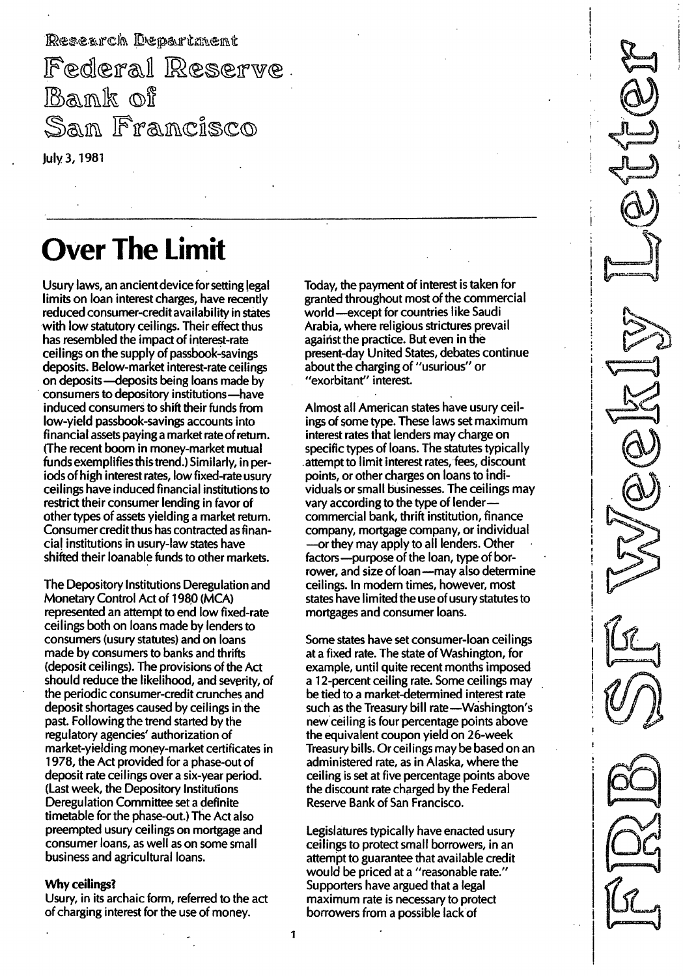Research Department Federal Reserve. Bank of San Francisco

# Over The Limit

July 3,1 981

Usury laws, an ancient device for setting legal limits on loan interest charges, have recently reduced consumer-credit availability in states with low statutory ceilings. Their effect thus has resembled the impact of interest-rate ceilings on the supply of passbook-savings deposits. Below-market interest-rate ceilings on deposits-deposits being loans made by consumers to depository institutions-have induced consumers to shift their funds from low-yield passbook-savings accounts into financial assets paying a market rate of return. (The recent boom in money-market mutual funds exemplifies this trend.) Similarly, in periods of high interest rates, low fixed-rate usury ceilings have induced financial institutions to restrict their consumer lending in favor of other types of assets yielding a market return. Consumer credit thus has contracted as financial institutions in usury-law states have shifted their loanable funds to other markets.

The Depository Institutions Deregulation and Monetary Control Act of 1980 (MCA) represented an attempt to end low fixed-rate ceilings both on loans made by lenders to consumers (usury statutes) and on loans made by consumers to banks and thrifts (deposit ceilings). The provisions of the Act should reduce the likelihood, and severity, of the periodic consumer-credit crunches and deposit shortages caused by ceilings in the past. Following the trend started by the regulatory agencies' authorization of market-yielding money-market certificates in 1978, the Act provided for a phase-out of deposit rate ceilings over a six-year period. (Last week, the Depository Institutions Deregulation Committee set a definite timetable for the phase-out.) The Act also preempted usury ceilings on mortgage and consumer loans, as well as on some small business and agricultural loans.

#### Why ceilings?

Usury, in its archaic form, referred to the act of charging interest for the use of money.

Today, the payment of interest is taken for granted throughout most of the commercial world-except for countries like Saudi Arabia, where religious strictures prevail against the practice. But even in the present-day United States, debates continue about the charging of "usurious" or "exorbitant" interest.

- - - ----------"---"--------"----------

Almost all American states have usury ceilings of some type. These laws set maximum interest rates that lenders may charge on specific types of loans. The statutes typically attempt to limit interest rates, fees, discount points, or other charges on loans to individuals or small businesses. The ceilings may vary according to the type of lendercommercial bank, thrift institution, finance company, mortgage company, or individual -or they may apply to all lenders. Other factors-purpose of the loan, type of borrower, and size of loan-may also determine ceilings. In modern times, however, most states have limited the use of usury statutes to mortgages and consumer loans.

Some states have set consumer-loan ceilings at a fixed rate. The state of Washington, for example, until quite recent months imposed a 12-percent ceiling rate. Some ceilings may be tied to a market-determined interest rate such as the Treasury bill rate-Washington's new ceiling is four percentage points above the equivalent coupon yield on 26-week Treasury bills. Orceilings may be based on an administered rate, as in Alaska, where the ceiling is set at five percentage points above the discount rate charged by the Federal Reserve Bank of San Francisco.

Legislatures typically have enacted usury ceilings to protect small borrowers, in an attempt to guarantee that available credit would be priced at a "reasonable rate." Supporters have argued that a legal maximum rate is necessary to protect borrowers from a possible lack of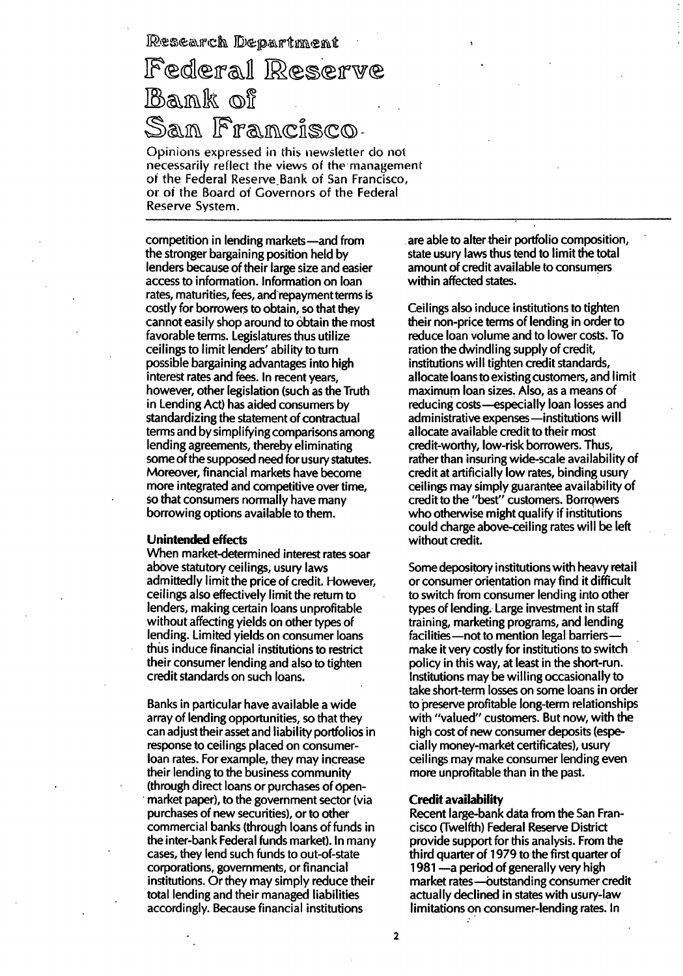Research Department

## Federal Reserve Bank of Francisco

Opinions expressed in this newsletter do not necessarily reflect the views of the management of the Federal Reserve Bank of San Francisco, or of the Board of Covemors of the Federal Reserve Svstem.

competition in lending markets-and from the stronger bargaining position held by lenders because of their large size and easier access to information. Information on loan rates, maturities, fees, and repayment terms is costly for borrowers to obtain, so that they cannot easily shop around to obtain the most favorable terms. Legislatures thus utilize ceilings to limit lenders' ability to turn possible bargaining advantages into high interest rates and fees. In recent years, however, other legislation (such as the Truth in Lending Act) has aided consumers by standardizing the statement of contractual terms and by simplifying comparisons among lending agreements, thereby eliminating some of the supposed need for usury statutes. Moreover, financial markets have become more integrated and competitive over time, so that consumers normally have many borrowing options available to them.

#### Unintended effects

When market-determined interest rates soar above statutory ceilings, usury laws admittedly limit the price of credit. However, ceilings also effectively limit the return to lenders, making certain loans unprofitable without affecting yields on other types of lending. Limited yields on consumer loans thus induce financial institutions to restrict their consumer lending and also to tighten credit standards on such loans.

Banks in particular have available a wide array of lending opportunities, so that they can adjust their asset and liability portfolios in response to ceilings placed on consumerloan rates. For example, they may increase their lending to the business community (through direct loans or purchases of openmarket paper), to the government sector (via purchases of new securities), or to other commercial banks (through loans of funds in the inter-bank Federal funds market). In many cases, they lend such funds to out-of-state corporations, governments, or financial institutions. Or they may simply reduce their total lending and their managed liabilities accordingly. Because financial institutions

are able to alter their portfolio composition, state usury laws thus tend to limit the total amount of credit available to consumers within affected states.

Ceilings also induce institutions to tighten their non-price terms of lending in order to reduce loan volume and to lower costs. To ration the dwindling supply of credit, institutions will tighten credit standards, allocate loans to existing customers, and limit maximum loan sizes. Also, as a means of reducing costs-especially loan losses and administrative expenses-institutions will allocate available credit to their most credit-worthy, low-risk borrowers. Thus, rather than insuring wide-scale availability of credit at artificially low rates, binding usury ceilings may simply guarantee availability of credit to the "best" customers. Borrowers who otherwise might qualify if institutions could charge above-ceiling rates will be left without credit.

Some depository institutions with heavy retaiI or consumer orientation may find it difficult to switch from consumer lending into other types of lending. Large investment in staff training, marketing programs, and lending facilities - not to mention legal barriersmake it very costly for institutions to switch policy in this way, at least in the short-run. Institutions may be willing occasionally to take short-term losses on some loans in order to preserve profitable long-term relationships with "valued" customers. But now, with the high cost of new consumer deposits (especially money-market certificates), usury ceilings may make consumer lending even more unprofitable than in the past.

#### Credit availability

Recent large-bank data from the San Francisco (Twelfth) Federal Reserve District provide support for this analysis. From the third quarter of 1 979 to the first quarter of 1981 - a period of generally very high market rates-outstanding consumer credit actually declined in states with usury-law limitations on consumer-lending rates. In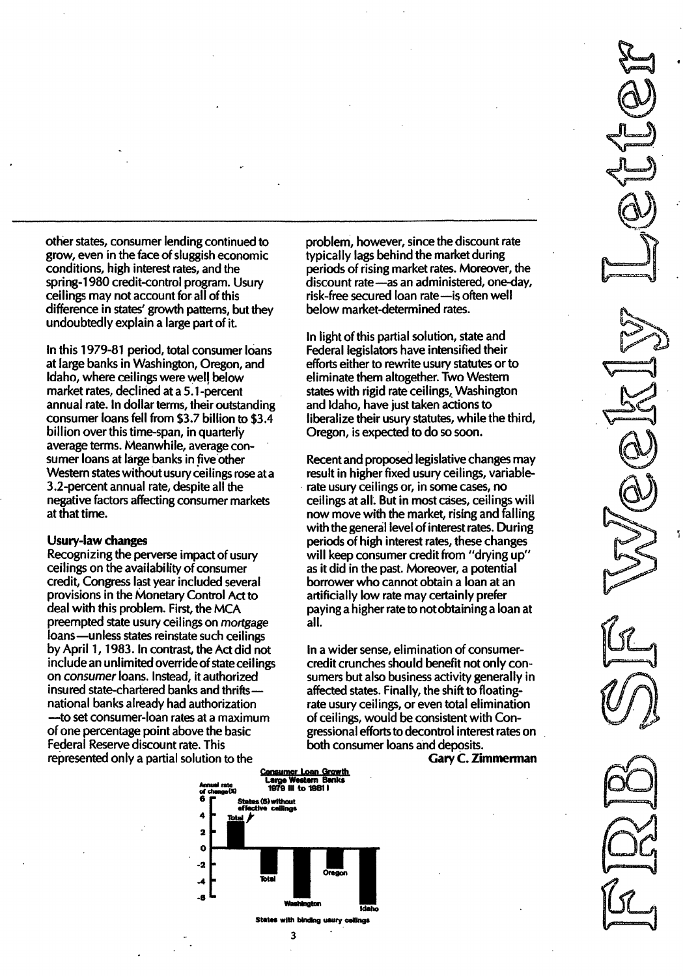other states, consumer lending continued to grow, even in the face of sluggish economic conditions, high interest rates, and the spring-1 980 credit-control program. Usury ceilings may not account for all of this difference in states' growth patterns, but they undoubtedly explain a large part of it.

In this 1979-81 period, total consumer loans at large banks in Washington, Oregon, and Idaho, where ceilings were wei! below market rates, declined at a S.l-percent annual rate. In dollar terms, their outstanding consumer loans fell from \$3.7 billion to \$3.4 billion over this time-span, in quarterly average terms. Meanwhile, average consumer loans at large banks in five other Western states without usury ceilings rose at a 3.2-percent annual rate, despite all the negative factors affecting consumer markets at that time.

#### Usury-law changes

Recognizing the perverse impact of usury ceilings on the availability of consumer credit, Congress last year included several provisions in the Monetary Control Act to deal with this problem. First, the MCA preempted state usury ceilings on mortgage loans-unless states reinstate such ceilings by April 1, 1983. In contrast, the Act did not include an unlimited override of state ceilings on consumer loans. Instead, it authorized insured state-chartered banks and thriftsnational banks already had authorization -to set consumer-loan rates at a maximum of one percentage point above the basic Federal Reserve discount rate. This represented only a partial solution to the

problem, however, since the discount rate typically lags behind the market during periods of rising market rates. Moreover, the discount rate-as an administered, one-day, risk-free secured loan rate-is often well below market-determined rates.

In light of this partial solution, state and Federal legislators have intensified their efforts either to rewrite usury statutes or to eliminate them altogether. Two Western states with rigid rate ceilings, Washington and Idaho, have just taken actions to liberalize their usury statutes, while the third, Oregon, is expected to do so soon.

Recent and proposed legislative changes may result in higher fixed usury ceilings, variablerate usury ceilings or, in some cases, no ceilings at all. But in most cases, ceilings will now move with the market, rising and falling with the general level of interest rates. During periods of high interest rates, these changes will keep consumer credit from "drying up" as it did in the past. Moreover, a potential borrower who cannot obtain a loan at an artificially low rate may certainly prefer paying a higher rate to not obtaining a loan at all.

In a wider sense, elimination of consumercredit crunches should benefit not only consumers but also business activity generally in affected states. Finally, the shift to floatingrate usury ceilings, or even total elimination of ceilings, would be consistent with Congressional efforts to decontrol interest rates on both consumer loans and deposits.

Gary C. Zimmerman